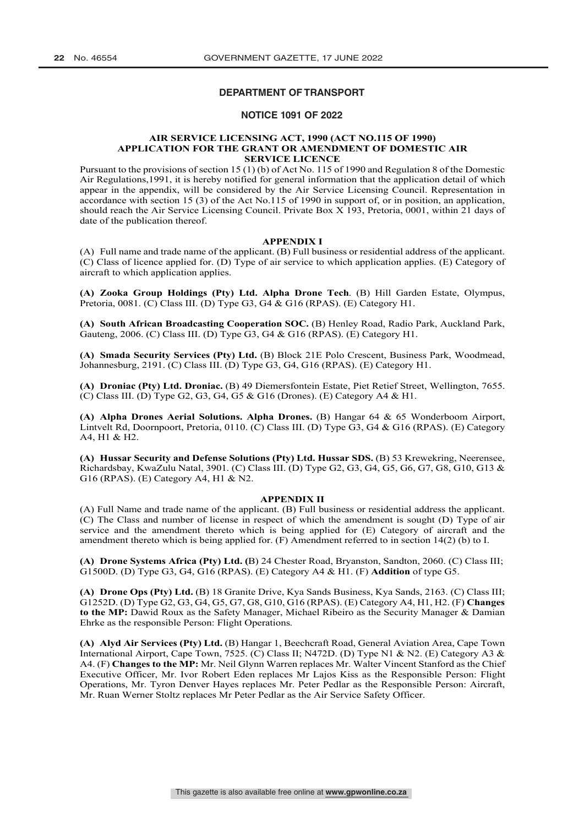# **DEPARTMENT OF TRANSPORT**

## **NOTICE 1091 OF 2022**

#### **AIR SERVICE LICENSING ACT, 1990 (ACT NO.115 OF 1990) APPLICATION FOR THE GRANT OR AMENDMENT OF DOMESTIC AIR SERVICE LICENCE**

Pursuant to the provisions of section 15 (1) (b) of Act No. 115 of 1990 and Regulation 8 of the Domestic Air Regulations,1991, it is hereby notified for general information that the application detail of which appear in the appendix, will be considered by the Air Service Licensing Council. Representation in accordance with section 15 (3) of the Act No.115 of 1990 in support of, or in position, an application, should reach the Air Service Licensing Council. Private Box X 193, Pretoria, 0001, within 21 days of date of the publication thereof.

#### **APPENDIX I**

(A) Full name and trade name of the applicant. (B) Full business or residential address of the applicant. (C) Class of licence applied for. (D) Type of air service to which application applies. (E) Category of aircraft to which application applies.

**(A) Zooka Group Holdings (Pty) Ltd. Alpha Drone Tech**. (B) Hill Garden Estate, Olympus, Pretoria, 0081. (C) Class III. (D) Type G3, G4 & G16 (RPAS). (E) Category H1.

**(A) South African Broadcasting Cooperation SOC.** (B) Henley Road, Radio Park, Auckland Park, Gauteng, 2006. (C) Class III. (D) Type G3, G4 & G16 (RPAS). (E) Category H1.

**(A) Smada Security Services (Pty) Ltd.** (B) Block 21E Polo Crescent, Business Park, Woodmead, Johannesburg, 2191. (C) Class III. (D) Type G3, G4, G16 (RPAS). (E) Category H1.

**(A) Droniac (Pty) Ltd. Droniac.** (B) 49 Diemersfontein Estate, Piet Retief Street, Wellington, 7655. (C) Class III. (D) Type G2, G3, G4, G5 & G16 (Drones). (E) Category A4 & H1.

**(A) Alpha Drones Aerial Solutions. Alpha Drones.** (B) Hangar 64 & 65 Wonderboom Airport, Lintvelt Rd, Doornpoort, Pretoria, 0110. (C) Class III. (D) Type G3, G4 & G16 (RPAS). (E) Category A4, H1 & H2.

**(A) Hussar Security and Defense Solutions (Pty) Ltd. Hussar SDS.** (B) 53 Krewekring, Neerensee, Richardsbay, KwaZulu Natal, 3901. (C) Class III. (D) Type G2, G3, G4, G5, G6, G7, G8, G10, G13 & G16 (RPAS). (E) Category A4, H1 & N2.

#### **APPENDIX II**

(A) Full Name and trade name of the applicant. (B) Full business or residential address the applicant. (C) The Class and number of license in respect of which the amendment is sought (D) Type of air service and the amendment thereto which is being applied for (E) Category of aircraft and the amendment thereto which is being applied for. (F) Amendment referred to in section 14(2) (b) to I.

**(A) Drone Systems Africa (Pty) Ltd. (**B) 24 Chester Road, Bryanston, Sandton, 2060. (C) Class III; G1500D. (D) Type G3, G4, G16 (RPAS). (E) Category A4 & H1. (F) **Addition** of type G5.

**(A) Drone Ops (Pty) Ltd.** (B) 18 Granite Drive, Kya Sands Business, Kya Sands, 2163. (C) Class III; G1252D. (D) Type G2, G3, G4, G5, G7, G8, G10, G16 (RPAS). (E) Category A4, H1, H2. (F) **Changes to the MP:** Dawid Roux as the Safety Manager, Michael Ribeiro as the Security Manager & Damian Ehrke as the responsible Person: Flight Operations.

**(A) Alyd Air Services (Pty) Ltd.** (B) Hangar 1, Beechcraft Road, General Aviation Area, Cape Town International Airport, Cape Town, 7525. (C) Class II; N472D. (D) Type N1 & N2. (E) Category A3 & A4. (F) **Changes to the MP:** Mr. Neil Glynn Warren replaces Mr. Walter Vincent Stanford as the Chief Executive Officer, Mr. Ivor Robert Eden replaces Mr Lajos Kiss as the Responsible Person: Flight Operations, Mr. Tyron Denver Hayes replaces Mr. Peter Pedlar as the Responsible Person: Aircraft, Mr. Ruan Werner Stoltz replaces Mr Peter Pedlar as the Air Service Safety Officer.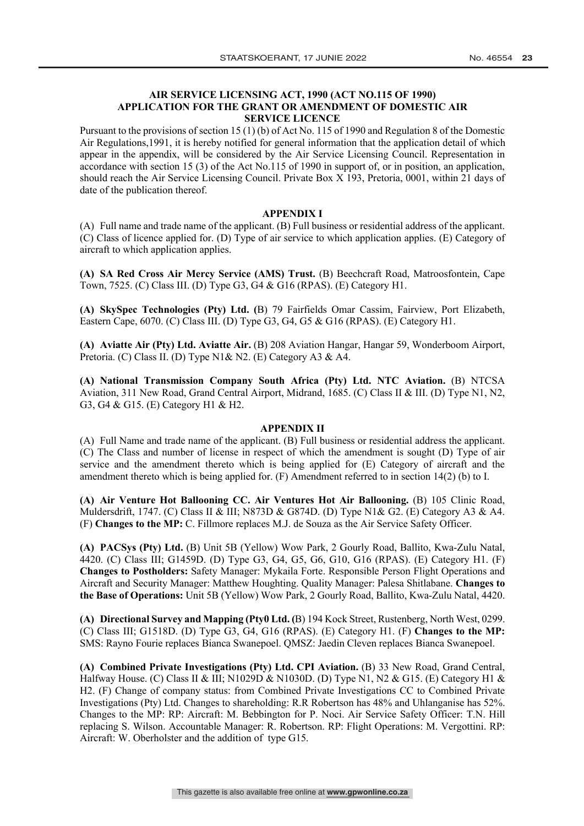# **AIR SERVICE LICENSING ACT, 1990 (ACT NO.115 OF 1990) APPLICATION FOR THE GRANT OR AMENDMENT OF DOMESTIC AIR SERVICE LICENCE**

Pursuant to the provisions of section 15 (1) (b) of Act No. 115 of 1990 and Regulation 8 of the Domestic Air Regulations,1991, it is hereby notified for general information that the application detail of which appear in the appendix, will be considered by the Air Service Licensing Council. Representation in accordance with section 15 (3) of the Act No.115 of 1990 in support of, or in position, an application, should reach the Air Service Licensing Council. Private Box X 193, Pretoria, 0001, within 21 days of date of the publication thereof.

## **APPENDIX I**

(A) Full name and trade name of the applicant. (B) Full business or residential address of the applicant. (C) Class of licence applied for. (D) Type of air service to which application applies. (E) Category of aircraft to which application applies.

**(A) SA Red Cross Air Mercy Service (AMS) Trust.** (B) Beechcraft Road, Matroosfontein, Cape Town, 7525. (C) Class III. (D) Type G3, G4 & G16 (RPAS). (E) Category H1.

**(A) SkySpec Technologies (Pty) Ltd. (**B) 79 Fairfields Omar Cassim, Fairview, Port Elizabeth, Eastern Cape, 6070. (C) Class III. (D) Type G3, G4, G5 & G16 (RPAS). (E) Category H1.

**(A) Aviatte Air (Pty) Ltd. Aviatte Air.** (B) 208 Aviation Hangar, Hangar 59, Wonderboom Airport, Pretoria. (C) Class II. (D) Type N1& N2. (E) Category A3 & A4.

**(A) National Transmission Company South Africa (Pty) Ltd. NTC Aviation.** (B) NTCSA Aviation, 311 New Road, Grand Central Airport, Midrand, 1685. (C) Class II & III. (D) Type N1, N2, G3, G4 & G15. (E) Category H1 & H2.

## **APPENDIX II**

(A) Full Name and trade name of the applicant. (B) Full business or residential address the applicant. (C) The Class and number of license in respect of which the amendment is sought (D) Type of air service and the amendment thereto which is being applied for (E) Category of aircraft and the amendment thereto which is being applied for. (F) Amendment referred to in section 14(2) (b) to I.

**(A) Air Venture Hot Ballooning CC. Air Ventures Hot Air Ballooning.** (B) 105 Clinic Road, Muldersdrift, 1747. (C) Class II & III; N873D & G874D. (D) Type N1& G2. (E) Category A3 & A4. (F) **Changes to the MP:** C. Fillmore replaces M.J. de Souza as the Air Service Safety Officer.

**(A) PACSys (Pty) Ltd.** (B) Unit 5B (Yellow) Wow Park, 2 Gourly Road, Ballito, Kwa-Zulu Natal, 4420. (C) Class III; G1459D. (D) Type G3, G4, G5, G6, G10, G16 (RPAS). (E) Category H1. (F) **Changes to Postholders:** Safety Manager: Mykaila Forte. Responsible Person Flight Operations and Aircraft and Security Manager: Matthew Houghting. Quality Manager: Palesa Shitlabane. **Changes to the Base of Operations:** Unit 5B (Yellow) Wow Park, 2 Gourly Road, Ballito, Kwa-Zulu Natal, 4420.

**(A) Directional Survey and Mapping (Pty0 Ltd. (**B) 194 Kock Street, Rustenberg, North West, 0299. (C) Class III; G1518D. (D) Type G3, G4, G16 (RPAS). (E) Category H1. (F) **Changes to the MP:**  SMS: Rayno Fourie replaces Bianca Swanepoel. QMSZ: Jaedin Cleven replaces Bianca Swanepoel.

**(A) Combined Private Investigations (Pty) Ltd. CPI Aviation.** (B) 33 New Road, Grand Central, Halfway House. (C) Class II & III; N1029D & N1030D. (D) Type N1, N2 & G15. (E) Category H1 & H2. (F) Change of company status: from Combined Private Investigations CC to Combined Private Investigations (Pty) Ltd. Changes to shareholding: R.R Robertson has 48% and Uhlanganise has 52%. Changes to the MP: RP: Aircraft: M. Bebbington for P. Noci. Air Service Safety Officer: T.N. Hill replacing S. Wilson. Accountable Manager: R. Robertson. RP: Flight Operations: M. Vergottini. RP: Aircraft: W. Oberholster and the addition of type G15.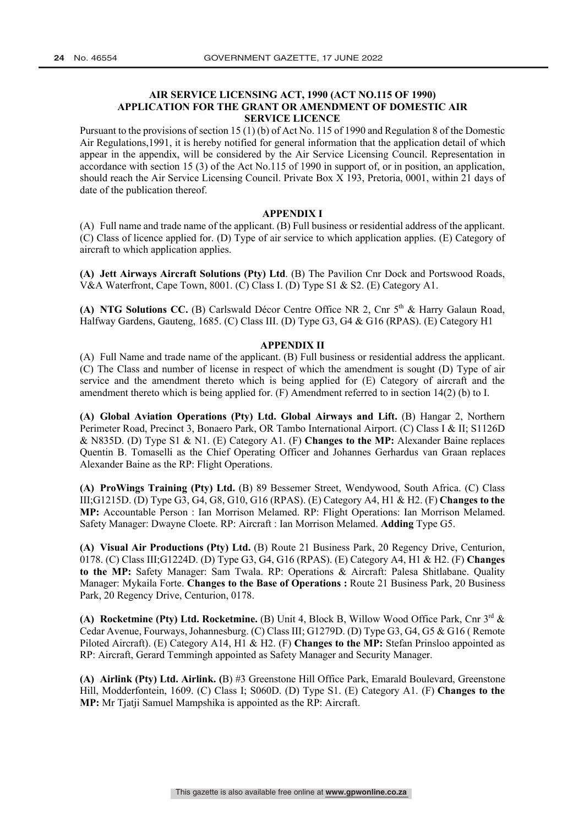# **AIR SERVICE LICENSING ACT, 1990 (ACT NO.115 OF 1990) APPLICATION FOR THE GRANT OR AMENDMENT OF DOMESTIC AIR SERVICE LICENCE**

Pursuant to the provisions of section 15 (1) (b) of Act No. 115 of 1990 and Regulation 8 of the Domestic Air Regulations,1991, it is hereby notified for general information that the application detail of which appear in the appendix, will be considered by the Air Service Licensing Council. Representation in accordance with section 15 (3) of the Act No.115 of 1990 in support of, or in position, an application, should reach the Air Service Licensing Council. Private Box X 193, Pretoria, 0001, within 21 days of date of the publication thereof.

### **APPENDIX I**

(A) Full name and trade name of the applicant. (B) Full business or residential address of the applicant. (C) Class of licence applied for. (D) Type of air service to which application applies. (E) Category of aircraft to which application applies.

**(A) Jett Airways Aircraft Solutions (Pty) Ltd**. (B) The Pavilion Cnr Dock and Portswood Roads, V&A Waterfront, Cape Town, 8001. (C) Class I. (D) Type S1 & S2. (E) Category A1.

**(A) NTG Solutions CC.** (B) Carlswald Décor Centre Office NR 2, Cnr 5<sup>th</sup> & Harry Galaun Road, Halfway Gardens, Gauteng, 1685. (C) Class III. (D) Type G3, G4 & G16 (RPAS). (E) Category H1

## **APPENDIX II**

(A) Full Name and trade name of the applicant. (B) Full business or residential address the applicant. (C) The Class and number of license in respect of which the amendment is sought (D) Type of air service and the amendment thereto which is being applied for (E) Category of aircraft and the amendment thereto which is being applied for. (F) Amendment referred to in section 14(2) (b) to I.

**(A) Global Aviation Operations (Pty) Ltd. Global Airways and Lift.** (B) Hangar 2, Northern Perimeter Road, Precinct 3, Bonaero Park, OR Tambo International Airport. (C) Class I & II; S1126D & N835D. (D) Type S1 & N1. (E) Category A1. (F) **Changes to the MP:** Alexander Baine replaces Quentin B. Tomaselli as the Chief Operating Officer and Johannes Gerhardus van Graan replaces Alexander Baine as the RP: Flight Operations.

**(A) ProWings Training (Pty) Ltd.** (B) 89 Bessemer Street, Wendywood, South Africa. (C) Class III;G1215D. (D) Type G3, G4, G8, G10, G16 (RPAS). (E) Category A4, H1 & H2. (F) **Changes to the MP:** Accountable Person : Ian Morrison Melamed. RP: Flight Operations: Ian Morrison Melamed. Safety Manager: Dwayne Cloete. RP: Aircraft : Ian Morrison Melamed. **Adding** Type G5.

**(A) Visual Air Productions (Pty) Ltd.** (B) Route 21 Business Park, 20 Regency Drive, Centurion, 0178. (C) Class III;G1224D. (D) Type G3, G4, G16 (RPAS). (E) Category A4, H1 & H2. (F) **Changes to the MP:** Safety Manager: Sam Twala. RP: Operations & Aircraft: Palesa Shitlabane. Quality Manager: Mykaila Forte. **Changes to the Base of Operations :** Route 21 Business Park, 20 Business Park, 20 Regency Drive, Centurion, 0178.

**(A) Rocketmine (Pty) Ltd. Rocketmine.** (B) Unit 4, Block B, Willow Wood Office Park, Cnr 3rd & Cedar Avenue, Fourways, Johannesburg. (C) Class III; G1279D. (D) Type G3, G4, G5 & G16 ( Remote Piloted Aircraft). (E) Category A14, H1 & H2. (F) **Changes to the MP:** Stefan Prinsloo appointed as RP: Aircraft, Gerard Temmingh appointed as Safety Manager and Security Manager.

**(A) Airlink (Pty) Ltd. Airlink. (**B) #3 Greenstone Hill Office Park, Emarald Boulevard, Greenstone Hill, Modderfontein, 1609. (C) Class I; S060D. (D) Type S1. (E) Category A1. (F) **Changes to the MP:** Mr Tjatji Samuel Mampshika is appointed as the RP: Aircraft.